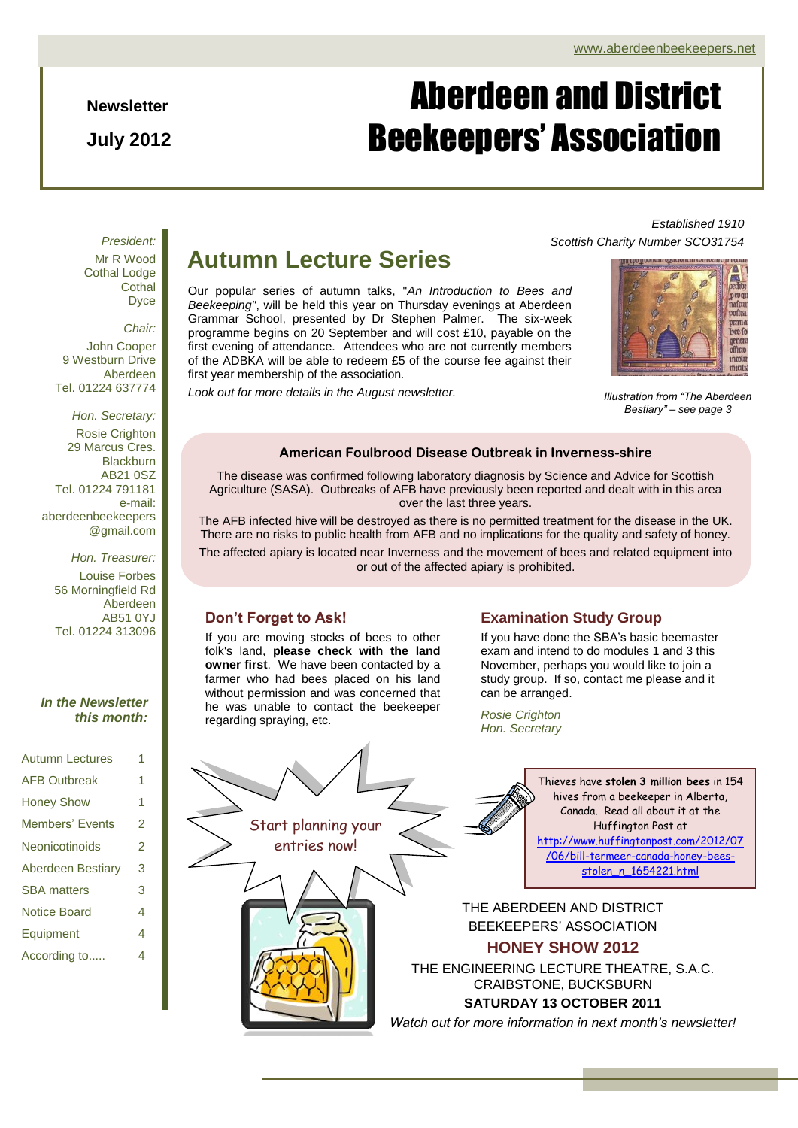**Newsletter**

**July 2012**

# Aberdeen and District Beekeepers' Association

*President:* Mr R Wood Cothal Lodge **Cothal** Dyce

*Chair:* John Cooper 9 Westburn Drive

Aberdeen Tel. 01224 637774

*Hon. Secretary:* Rosie Crighton 29 Marcus Cres. Blackburn AB21 0SZ Tel. 01224 791181 e-mail: aberdeenbeekeepers @gmail.com

*Hon. Treasurer:* Louise Forbes 56 Morningfield Rd Aberdeen AB51 0YJ Tel. 01224 313096

## *In the Newsletter this month:*

| <b>Autumn Lectures</b>   |   |
|--------------------------|---|
| <b>AFB Outbreak</b>      | 1 |
| <b>Honey Show</b>        | 1 |
| <b>Members' Events</b>   | 2 |
| Neonicotinoids           | 2 |
| <b>Aberdeen Bestiary</b> | 3 |
| <b>SBA</b> matters       | 3 |
| Notice Board             | 4 |
| Equipment                | 4 |
| According to             | 4 |
|                          |   |

# **Autumn Lecture Series**

Our popular series of autumn talks, "*An Introduction to Bees and Beekeeping"*, will be held this year on Thursday evenings at Aberdeen Grammar School, presented by Dr Stephen Palmer. The six-week programme begins on 20 September and will cost £10, payable on the first evening of attendance. Attendees who are not currently members of the ADBKA will be able to redeem £5 of the course fee against their first year membership of the association.

*Look out for more details in the August newsletter.*

*Scottish Charity Number SCO31754*



*Established 1910*

*Illustration from "The Aberdeen Bestiary" – see page 3*

## **American Foulbrood Disease Outbreak in Inverness-shire**

The disease was confirmed following laboratory diagnosis by Science and Advice for Scottish Agriculture (SASA). Outbreaks of AFB have previously been reported and dealt with in this area over the last three years.

The AFB infected hive will be destroyed as there is no permitted treatment for the disease in the UK. There are no risks to public health from AFB and no implications for the quality and safety of honey.

The affected apiary is located near Inverness and the movement of bees and related equipment into or out of the affected apiary is prohibited.

## **Don't Forget to Ask!**

If you are moving stocks of bees to other folk's land, **please check with the land owner first**. We have been contacted by a farmer who had bees placed on his land without permission and was concerned that he was unable to contact the beekeeper regarding spraying, etc.

## **Examination Study Group**

November, perhaps you would like to join a If you have done the SBA's basic beemaster exam and intend to do modules 1 and 3 this study group. If so, contact me please and it can be arranged.

*Rosie Crighton Hon. Secretary*

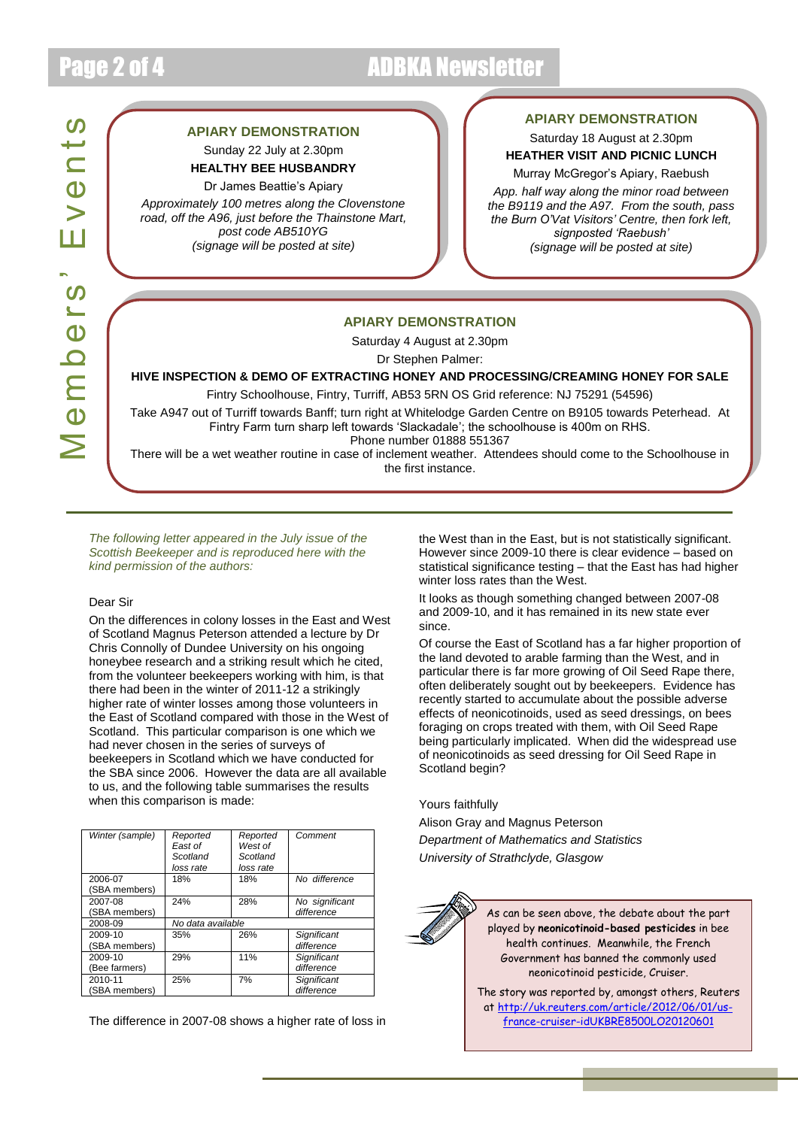# Page 2 of 4 ADBKA Newsletter

# Members' Events Events Members'

## **APIARY DEMONSTRATION**

Sunday 22 July at 2.30pm **HEALTHY BEE HUSBANDRY**

### Dr James Beattie's Apiary

*Approximately 100 metres along the Clovenstone road, off the A96, just before the Thainstone Mart, post code AB510YG (signage will be posted at site)*

## **APIARY DEMONSTRATION**

Saturday 18 August at 2.30pm **HEATHER VISIT AND PICNIC LUNCH** 

Murray McGregor's Apiary, Raebush

*App. half way along the minor road between the B9119 and the A97. From the south, pass the Burn O'Vat Visitors' Centre, then fork left, signposted 'Raebush' (signage will be posted at site)*

## **APIARY DEMONSTRATION**

Saturday 4 August at 2.30pm

Dr Stephen Palmer:

**HIVE INSPECTION & DEMO OF EXTRACTING HONEY AND PROCESSING/CREAMING HONEY FOR SALE**

Fintry Schoolhouse, Fintry, Turriff, AB53 5RN OS Grid reference: NJ 75291 (54596)

Take A947 out of Turriff towards Banff; turn right at Whitelodge Garden Centre on B9105 towards Peterhead. At Fintry Farm turn sharp left towards 'Slackadale'; the schoolhouse is 400m on RHS.

Phone number 01888 551367

There will be a wet weather routine in case of inclement weather. Attendees should come to the Schoolhouse in the first instance.

*The following letter appeared in the July issue of the Scottish Beekeeper and is reproduced here with the kind permission of the authors:*

## Dear Sir

On the differences in colony losses in the East and West of Scotland Magnus Peterson attended a lecture by Dr Chris Connolly of Dundee University on his ongoing honeybee research and a striking result which he cited, from the volunteer beekeepers working with him, is that there had been in the winter of 2011-12 a strikingly higher rate of winter losses among those volunteers in the East of Scotland compared with those in the West of Scotland. This particular comparison is one which we had never chosen in the series of surveys of beekeepers in Scotland which we have conducted for the SBA since 2006. However the data are all available to us, and the following table summarises the results when this comparison is made:

| Winter (sample) | Reported<br>East of<br>Scotland<br>loss rate | Reported<br>West of<br>Scotland<br>loss rate | Comment        |
|-----------------|----------------------------------------------|----------------------------------------------|----------------|
| 2006-07         | 18%                                          | 18%                                          | No difference  |
| (SBA members)   |                                              |                                              |                |
| 2007-08         | 24%                                          | 28%                                          | No significant |
| (SBA members)   |                                              |                                              | difference     |
| 2008-09         | No data available                            |                                              |                |
| 2009-10         | 35%                                          | 26%                                          | Significant    |
| (SBA members)   |                                              |                                              | difference     |
| 2009-10         | 29%                                          | 11%                                          | Significant    |
| (Bee farmers)   |                                              |                                              | difference     |
| 2010-11         | 25%                                          | 7%                                           | Significant    |
| (SBA members)   |                                              |                                              | difference     |

The difference in 2007-08 shows a higher rate of loss in

the West than in the East, but is not statistically significant. However since 2009-10 there is clear evidence – based on statistical significance testing – that the East has had higher winter loss rates than the West.

It looks as though something changed between 2007-08 and 2009-10, and it has remained in its new state ever since.

Of course the East of Scotland has a far higher proportion of the land devoted to arable farming than the West, and in particular there is far more growing of Oil Seed Rape there, often deliberately sought out by beekeepers. Evidence has recently started to accumulate about the possible adverse effects of neonicotinoids, used as seed dressings, on bees foraging on crops treated with them, with Oil Seed Rape being particularly implicated. When did the widespread use of neonicotinoids as seed dressing for Oil Seed Rape in Scotland begin?

Yours faithfully

Alison Gray and Magnus Peterson *Department of Mathematics and Statistics University of Strathclyde, Glasgow*



As can be seen above, the debate about the part played by **neonicotinoid-based pesticides** in bee health continues. Meanwhile, the French Government has banned the commonly used neonicotinoid pesticide, Cruiser.

The story was reported by, amongst others, Reuters a[t http://uk.reuters.com/article/2012/06/01/us](http://uk.reuters.com/article/2012/06/01/us-france-cruiser-idUKBRE8500LO20120601)[france-cruiser-idUKBRE8500LO20120601](http://uk.reuters.com/article/2012/06/01/us-france-cruiser-idUKBRE8500LO20120601)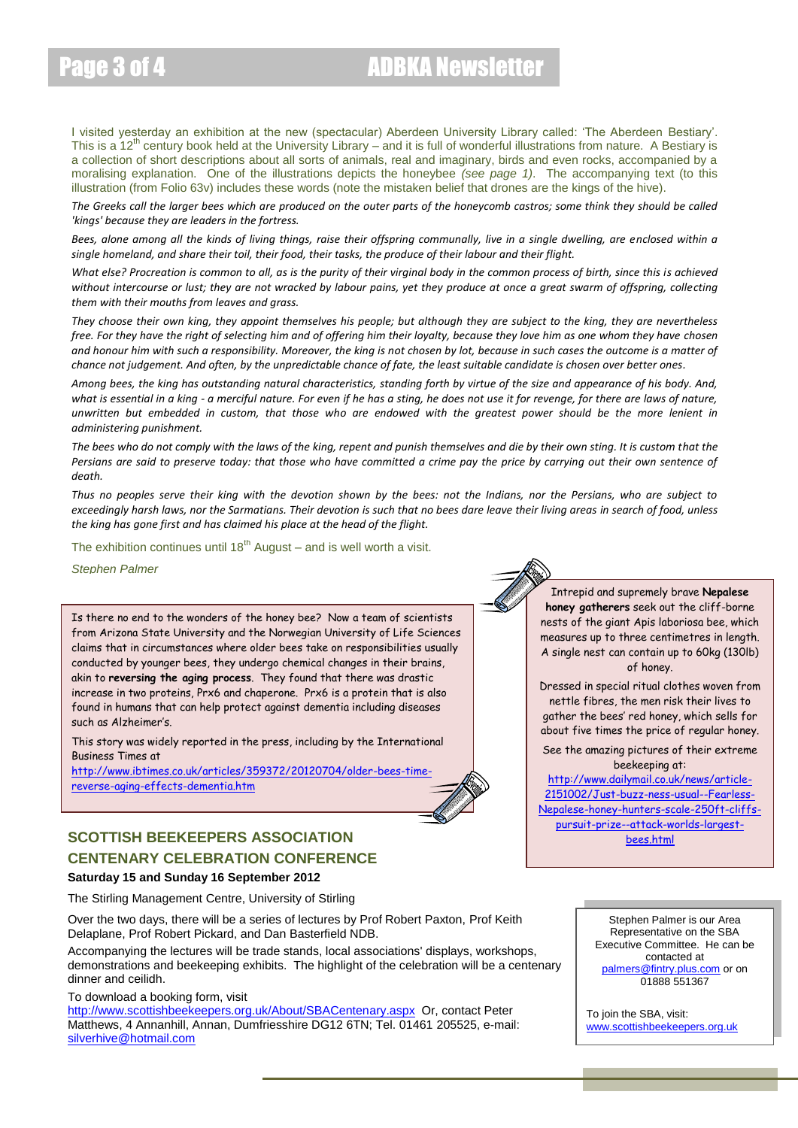# Page 3 of 4 **ADBKA** Newsletter

I visited yesterday an exhibition at the new (spectacular) Aberdeen University Library called: 'The Aberdeen Bestiary'. This is a 12<sup>th</sup> century book held at the University Library – and it is full of wonderful illustrations from nature. A Bestiary is a collection of short descriptions about all sorts of animals, real and imaginary, birds and even rocks, accompanied by a moralising explanation. One of the illustrations depicts the honeybee *(see page 1)*. The accompanying text (to this illustration (from Folio 63v) includes these words (note the mistaken belief that drones are the kings of the hive).

*The Greeks call the larger bees which are produced on the outer parts of the honeycomb castros; some think they should be called 'kings' because they are leaders in the fortress.*

Bees, alone among all the kinds of living things, raise their offspring communally, live in a single dwelling, are enclosed within a *single homeland, and share their toil, their food, their tasks, the produce of their labour and their flight.*

*What else? Procreation is common to all, as is the purity of their virginal body in the common process of birth, since this is achieved without intercourse or lust; they are not wracked by labour pains, yet they produce at once a great swarm of offspring, collecting them with their mouths from leaves and grass.*

*They choose their own king, they appoint themselves his people; but although they are subject to the king, they are nevertheless free. For they have the right of selecting him and of offering him their loyalty, because they love him as one whom they have chosen and honour him with such a responsibility. Moreover, the king is not chosen by lot, because in such cases the outcome is a matter of chance not judgement. And often, by the unpredictable chance of fate, the least suitable candidate is chosen over better ones.*

*Among bees, the king has outstanding natural characteristics, standing forth by virtue of the size and appearance of his body. And, what is essential in a king - a merciful nature. For even if he has a sting, he does not use it for revenge, for there are laws of nature, unwritten but embedded in custom, that those who are endowed with the greatest power should be the more lenient in administering punishment.*

*The bees who do not comply with the laws of the king, repent and punish themselves and die by their own sting. It is custom that the Persians are said to preserve today: that those who have committed a crime pay the price by carrying out their own sentence of death.*

*Thus no peoples serve their king with the devotion shown by the bees: not the Indians, nor the Persians, who are subject to exceedingly harsh laws, nor the Sarmatians. Their devotion is such that no bees dare leave their living areas in search of food, unless the king has gone first and has claimed his place at the head of the flight.*

The exhibition continues until  $18^{th}$  August – and is well worth a visit.

*Stephen Palmer*

Is there no end to the wonders of the honey bee? Now a team of scientists from Arizona State University and the Norwegian University of Life Sciences claims that in circumstances where older bees take on responsibilities usually conducted by younger bees, they undergo chemical changes in their brains, akin to **reversing the aging process**. They found that there was drastic increase in two proteins, Prx6 and chaperone. Prx6 is a protein that is also found in humans that can help protect against dementia including diseases such as Alzheimer's.

This story was widely reported in the press, including by the International Business Times at

[http://www.ibtimes.co.uk/articles/359372/20120704/older-bees-time](http://www.ibtimes.co.uk/articles/359372/20120704/older-bees-time-reverse-aging-effects-dementia.htm)[reverse-aging-effects-dementia.htm](http://www.ibtimes.co.uk/articles/359372/20120704/older-bees-time-reverse-aging-effects-dementia.htm)

## **SCOTTISH BEEKEEPERS ASSOCIATION CENTENARY CELEBRATION CONFERENCE**

## **Saturday 15 and Sunday 16 September 2012**

The Stirling Management Centre, University of Stirling

Over the two days, there will be a series of lectures by Prof Robert Paxton, Prof Keith Delaplane, Prof Robert Pickard, and Dan Basterfield NDB.

Accompanying the lectures will be trade stands, local associations' displays, workshops, demonstrations and beekeeping exhibits. The highlight of the celebration will be a centenary dinner and ceilidh.

To download a booking form, visit

<http://www.scottishbeekeepers.org.uk/About/SBACentenary.aspx>Or, contact Peter Matthews, 4 Annanhill, Annan, Dumfriesshire DG12 6TN; Tel. 01461 205525, e-mail: [silverhive@hotmail.com](mailto:silverhive@hotmail.com)

Intrepid and supremely brave **Nepalese honey gatherers** seek out the cliff-borne nests of the giant Apis laboriosa bee, which measures up to three centimetres in length. A single nest can contain up to 60kg (130lb) of honey.

Dressed in special ritual clothes woven from nettle fibres, the men risk their lives to gather the bees' red honey, which sells for about five times the price of regular honey.

See the amazing pictures of their extreme beekeeping at:

[http://www.dailymail.co.uk/news/article-](http://www.dailymail.co.uk/news/article-2151002/Just-buzz-ness-usual--Fearless-Nepalese-honey-hunters-scale-250ft-cliffs-pursuit-prize--attack-worlds-largest-bees.html)[2151002/Just-buzz-ness-usual--Fearless-](http://www.dailymail.co.uk/news/article-2151002/Just-buzz-ness-usual--Fearless-Nepalese-honey-hunters-scale-250ft-cliffs-pursuit-prize--attack-worlds-largest-bees.html)[Nepalese-honey-hunters-scale-250ft-cliffs](http://www.dailymail.co.uk/news/article-2151002/Just-buzz-ness-usual--Fearless-Nepalese-honey-hunters-scale-250ft-cliffs-pursuit-prize--attack-worlds-largest-bees.html)[pursuit-prize--attack-worlds-largest](http://www.dailymail.co.uk/news/article-2151002/Just-buzz-ness-usual--Fearless-Nepalese-honey-hunters-scale-250ft-cliffs-pursuit-prize--attack-worlds-largest-bees.html)[bees.html](http://www.dailymail.co.uk/news/article-2151002/Just-buzz-ness-usual--Fearless-Nepalese-honey-hunters-scale-250ft-cliffs-pursuit-prize--attack-worlds-largest-bees.html)



To join the SBA, visit: [www.scottishbeekeepers.org.uk](http://www.scottishbeekeepers.org.uk/)